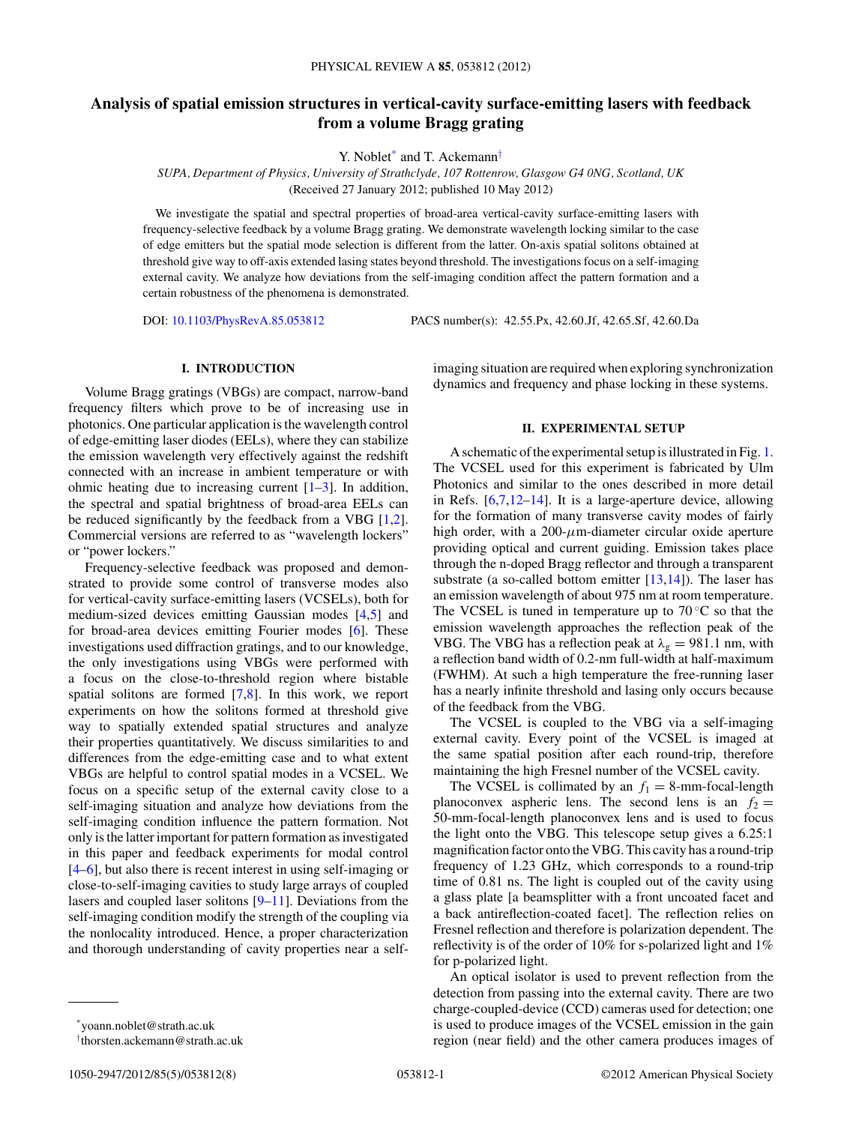# **Analysis of spatial emission structures in vertical-cavity surface-emitting lasers with feedback from a volume Bragg grating**

Y. Noblet<sup>\*</sup> and T. Ackemann<sup>†</sup>

*SUPA, Department of Physics, University of Strathclyde, 107 Rottenrow, Glasgow G4 0NG, Scotland, UK* (Received 27 January 2012; published 10 May 2012)

We investigate the spatial and spectral properties of broad-area vertical-cavity surface-emitting lasers with frequency-selective feedback by a volume Bragg grating. We demonstrate wavelength locking similar to the case of edge emitters but the spatial mode selection is different from the latter. On-axis spatial solitons obtained at threshold give way to off-axis extended lasing states beyond threshold. The investigations focus on a self-imaging external cavity. We analyze how deviations from the self-imaging condition affect the pattern formation and a certain robustness of the phenomena is demonstrated.

DOI: [10.1103/PhysRevA.85.053812](http://dx.doi.org/10.1103/PhysRevA.85.053812) PACS number(s): 42*.*55*.*Px, 42*.*60*.*Jf, 42*.*65*.*Sf, 42*.*60*.*Da

## **I. INTRODUCTION**

Volume Bragg gratings (VBGs) are compact, narrow-band frequency filters which prove to be of increasing use in photonics. One particular application is the wavelength control of edge-emitting laser diodes (EELs), where they can stabilize the emission wavelength very effectively against the redshift connected with an increase in ambient temperature or with ohmic heating due to increasing current  $[1-3]$ . In addition, the spectral and spatial brightness of broad-area EELs can be reduced significantly by the feedback from a VBG [\[1,2\]](#page-7-0). Commercial versions are referred to as "wavelength lockers" or "power lockers."

Frequency-selective feedback was proposed and demonstrated to provide some control of transverse modes also for vertical-cavity surface-emitting lasers (VCSELs), both for medium-sized devices emitting Gaussian modes [\[4,5\]](#page-7-0) and for broad-area devices emitting Fourier modes [\[6\]](#page-7-0). These investigations used diffraction gratings, and to our knowledge, the only investigations using VBGs were performed with a focus on the close-to-threshold region where bistable spatial solitons are formed [\[7,8\]](#page-7-0). In this work, we report experiments on how the solitons formed at threshold give way to spatially extended spatial structures and analyze their properties quantitatively. We discuss similarities to and differences from the edge-emitting case and to what extent VBGs are helpful to control spatial modes in a VCSEL. We focus on a specific setup of the external cavity close to a self-imaging situation and analyze how deviations from the self-imaging condition influence the pattern formation. Not only is the latter important for pattern formation as investigated in this paper and feedback experiments for modal control [\[4–6\]](#page-7-0), but also there is recent interest in using self-imaging or close-to-self-imaging cavities to study large arrays of coupled lasers and coupled laser solitons [\[9–11\]](#page-7-0). Deviations from the self-imaging condition modify the strength of the coupling via the nonlocality introduced. Hence, a proper characterization and thorough understanding of cavity properties near a selfimaging situation are required when exploring synchronization dynamics and frequency and phase locking in these systems.

## **II. EXPERIMENTAL SETUP**

A schematic of the experimental setup is illustrated in Fig. [1.](#page-1-0) The VCSEL used for this experiment is fabricated by Ulm Photonics and similar to the ones described in more detail in Refs. [\[6,7,12–14\]](#page-7-0). It is a large-aperture device, allowing for the formation of many transverse cavity modes of fairly high order, with a 200-*μ*m-diameter circular oxide aperture providing optical and current guiding. Emission takes place through the n-doped Bragg reflector and through a transparent substrate (a so-called bottom emitter  $[13,14]$ ). The laser has an emission wavelength of about 975 nm at room temperature. The VCSEL is tuned in temperature up to  $70^{\circ}$ C so that the emission wavelength approaches the reflection peak of the VBG. The VBG has a reflection peak at  $\lambda_g = 981.1$  nm, with a reflection band width of 0.2-nm full-width at half-maximum (FWHM). At such a high temperature the free-running laser has a nearly infinite threshold and lasing only occurs because of the feedback from the VBG.

The VCSEL is coupled to the VBG via a self-imaging external cavity. Every point of the VCSEL is imaged at the same spatial position after each round-trip, therefore maintaining the high Fresnel number of the VCSEL cavity.

The VCSEL is collimated by an  $f_1 = 8$ -mm-focal-length planoconvex aspheric lens. The second lens is an  $f_2 =$ 50-mm-focal-length planoconvex lens and is used to focus the light onto the VBG. This telescope setup gives a 6.25:1 magnification factor onto the VBG. This cavity has a round-trip frequency of 1.23 GHz, which corresponds to a round-trip time of 0.81 ns. The light is coupled out of the cavity using a glass plate [a beamsplitter with a front uncoated facet and a back antireflection-coated facet]. The reflection relies on Fresnel reflection and therefore is polarization dependent. The reflectivity is of the order of 10% for s-polarized light and 1% for p-polarized light.

An optical isolator is used to prevent reflection from the detection from passing into the external cavity. There are two charge-coupled-device (CCD) cameras used for detection; one is used to produce images of the VCSEL emission in the gain region (near field) and the other camera produces images of

<sup>\*</sup>yoann.noblet@strath.ac.uk

<sup>†</sup> thorsten.ackemann@strath.ac.uk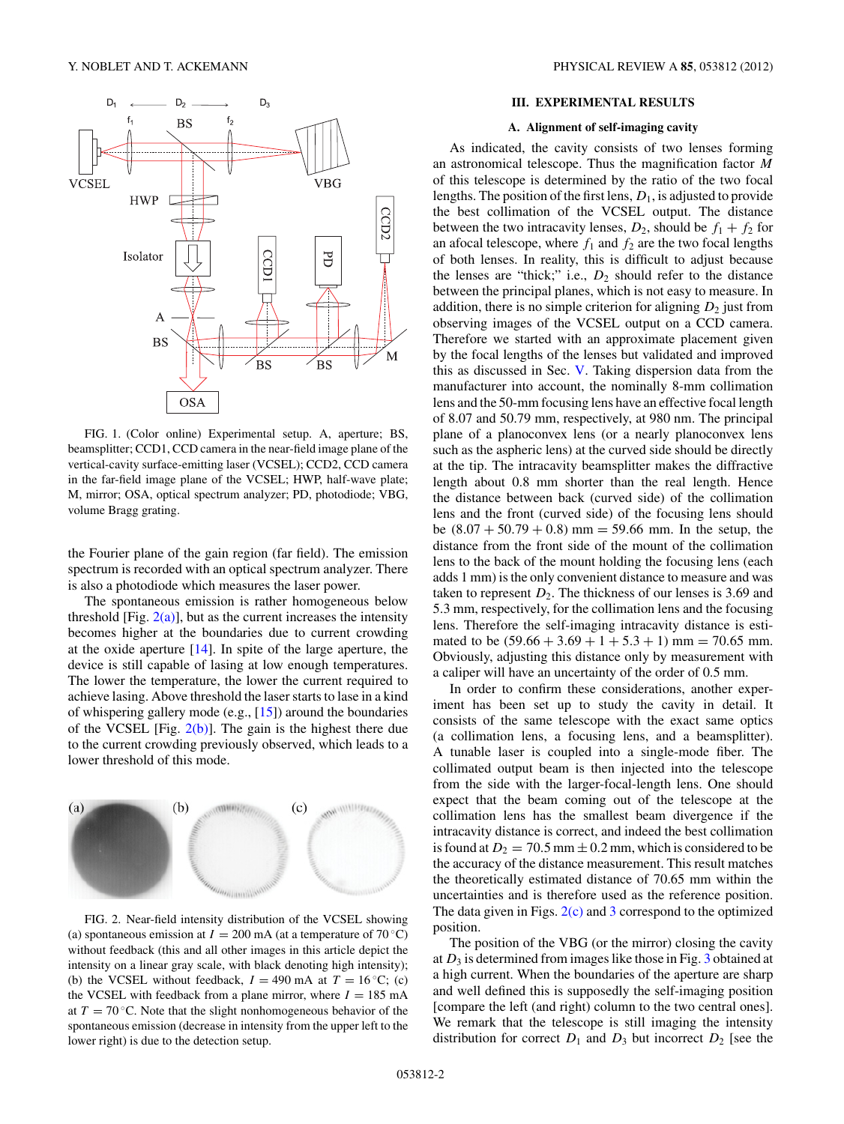<span id="page-1-0"></span>

FIG. 1. (Color online) Experimental setup. A, aperture; BS, beamsplitter; CCD1, CCD camera in the near-field image plane of the vertical-cavity surface-emitting laser (VCSEL); CCD2, CCD camera in the far-field image plane of the VCSEL; HWP, half-wave plate; M, mirror; OSA, optical spectrum analyzer; PD, photodiode; VBG, volume Bragg grating.

the Fourier plane of the gain region (far field). The emission spectrum is recorded with an optical spectrum analyzer. There is also a photodiode which measures the laser power.

The spontaneous emission is rather homogeneous below threshold [Fig.  $2(a)$ ], but as the current increases the intensity becomes higher at the boundaries due to current crowding at the oxide aperture [\[14\]](#page-7-0). In spite of the large aperture, the device is still capable of lasing at low enough temperatures. The lower the temperature, the lower the current required to achieve lasing. Above threshold the laser starts to lase in a kind of whispering gallery mode (e.g., [\[15\]](#page-7-0)) around the boundaries of the VCSEL [Fig.  $2(b)$ ]. The gain is the highest there due to the current crowding previously observed, which leads to a lower threshold of this mode.



FIG. 2. Near-field intensity distribution of the VCSEL showing (a) spontaneous emission at  $I = 200$  mA (at a temperature of 70 °C) without feedback (this and all other images in this article depict the intensity on a linear gray scale, with black denoting high intensity); (b) the VCSEL without feedback,  $I = 490$  mA at  $T = 16$  °C; (c) the VCSEL with feedback from a plane mirror, where  $I = 185$  mA at  $T = 70$  °C. Note that the slight nonhomogeneous behavior of the spontaneous emission (decrease in intensity from the upper left to the lower right) is due to the detection setup.

## **III. EXPERIMENTAL RESULTS**

## **A. Alignment of self-imaging cavity**

As indicated, the cavity consists of two lenses forming an astronomical telescope. Thus the magnification factor *M* of this telescope is determined by the ratio of the two focal lengths. The position of the first lens, *D*1, is adjusted to provide the best collimation of the VCSEL output. The distance between the two intracavity lenses,  $D_2$ , should be  $f_1 + f_2$  for an afocal telescope, where  $f_1$  and  $f_2$  are the two focal lengths of both lenses. In reality, this is difficult to adjust because the lenses are "thick;" i.e.,  $D_2$  should refer to the distance between the principal planes, which is not easy to measure. In addition, there is no simple criterion for aligning  $D_2$  just from observing images of the VCSEL output on a CCD camera. Therefore we started with an approximate placement given by the focal lengths of the lenses but validated and improved this as discussed in Sec. [V.](#page-4-0) Taking dispersion data from the manufacturer into account, the nominally 8-mm collimation lens and the 50-mm focusing lens have an effective focal length of 8.07 and 50.79 mm, respectively, at 980 nm. The principal plane of a planoconvex lens (or a nearly planoconvex lens such as the aspheric lens) at the curved side should be directly at the tip. The intracavity beamsplitter makes the diffractive length about 0.8 mm shorter than the real length. Hence the distance between back (curved side) of the collimation lens and the front (curved side) of the focusing lens should be (8*.*07 + 50*.*79 + 0*.*8) mm = 59*.*66 mm. In the setup, the distance from the front side of the mount of the collimation lens to the back of the mount holding the focusing lens (each adds 1 mm) is the only convenient distance to measure and was taken to represent  $D_2$ . The thickness of our lenses is 3.69 and 5.3 mm, respectively, for the collimation lens and the focusing lens. Therefore the self-imaging intracavity distance is estimated to be  $(59.66 + 3.69 + 1 + 5.3 + 1)$  mm = 70.65 mm. Obviously, adjusting this distance only by measurement with a caliper will have an uncertainty of the order of 0.5 mm.

In order to confirm these considerations, another experiment has been set up to study the cavity in detail. It consists of the same telescope with the exact same optics (a collimation lens, a focusing lens, and a beamsplitter). A tunable laser is coupled into a single-mode fiber. The collimated output beam is then injected into the telescope from the side with the larger-focal-length lens. One should expect that the beam coming out of the telescope at the collimation lens has the smallest beam divergence if the intracavity distance is correct, and indeed the best collimation is found at  $D_2 = 70.5$  mm  $\pm 0.2$  mm, which is considered to be the accuracy of the distance measurement. This result matches the theoretically estimated distance of 70.65 mm within the uncertainties and is therefore used as the reference position. The data given in Figs.  $2(c)$  and [3](#page-2-0) correspond to the optimized position.

The position of the VBG (or the mirror) closing the cavity at  $D_3$  $D_3$  is determined from images like those in Fig.  $3$  obtained at a high current. When the boundaries of the aperture are sharp and well defined this is supposedly the self-imaging position [compare the left (and right) column to the two central ones]. We remark that the telescope is still imaging the intensity distribution for correct  $D_1$  and  $D_3$  but incorrect  $D_2$  [see the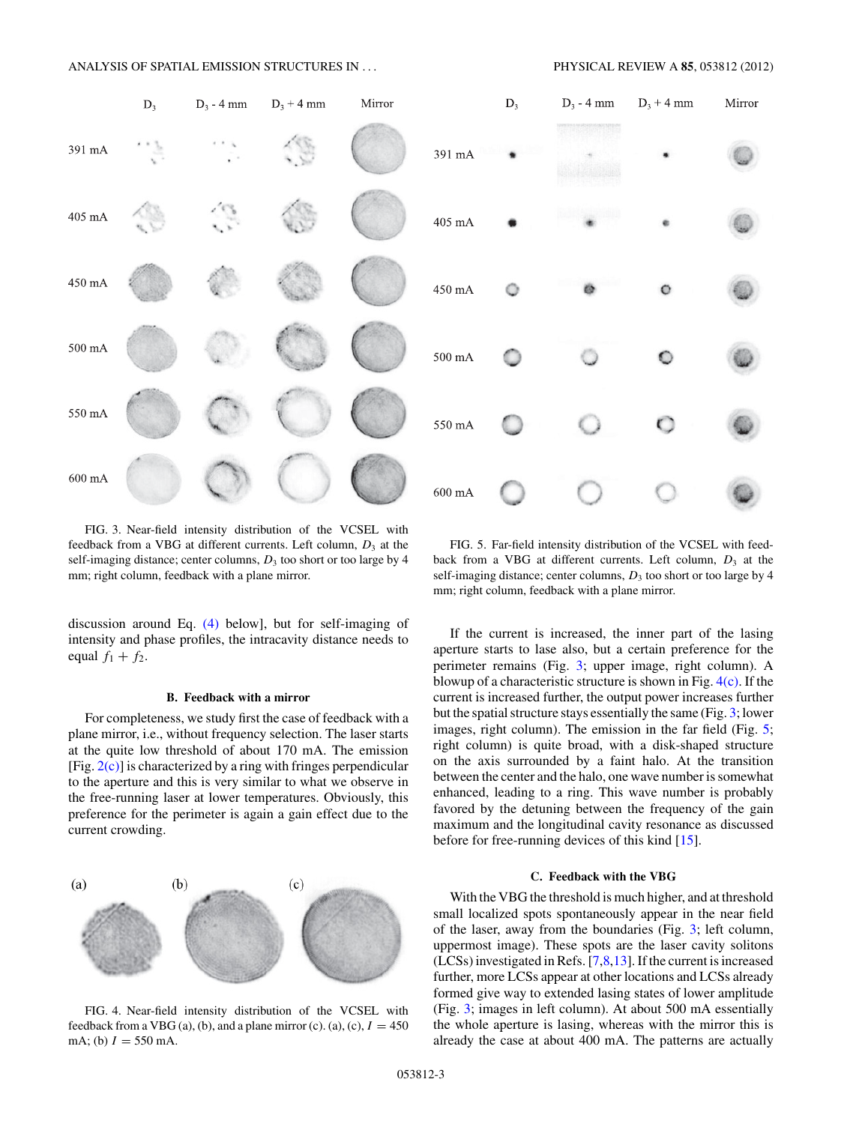## <span id="page-2-0"></span>ANALYSIS OF SPATIAL EMISSION STRUCTURES IN *...* PHYSICAL REVIEW A **85**, 053812 (2012)



FIG. 3. Near-field intensity distribution of the VCSEL with feedback from a VBG at different currents. Left column,  $D_3$  at the self-imaging distance; center columns,  $D_3$  too short or too large by 4 mm; right column, feedback with a plane mirror.

discussion around Eq. [\(4\)](#page-5-0) below], but for self-imaging of intensity and phase profiles, the intracavity distance needs to equal  $f_1 + f_2$ .

#### **B. Feedback with a mirror**

For completeness, we study first the case of feedback with a plane mirror, i.e., without frequency selection. The laser starts at the quite low threshold of about 170 mA. The emission [Fig.  $2(c)$ ] is characterized by a ring with fringes perpendicular to the aperture and this is very similar to what we observe in the free-running laser at lower temperatures. Obviously, this preference for the perimeter is again a gain effect due to the current crowding.



FIG. 4. Near-field intensity distribution of the VCSEL with feedback from a VBG (a), (b), and a plane mirror (c). (a), (c),  $I = 450$ mA; (b)  $I = 550$  mA.



FIG. 5. Far-field intensity distribution of the VCSEL with feedback from a VBG at different currents. Left column,  $D_3$  at the self-imaging distance; center columns,  $D_3$  too short or too large by 4 mm; right column, feedback with a plane mirror.

If the current is increased, the inner part of the lasing aperture starts to lase also, but a certain preference for the perimeter remains (Fig. 3; upper image, right column). A blowup of a characteristic structure is shown in Fig.  $4(c)$ . If the current is increased further, the output power increases further but the spatial structure stays essentially the same (Fig. 3; lower images, right column). The emission in the far field (Fig. 5; right column) is quite broad, with a disk-shaped structure on the axis surrounded by a faint halo. At the transition between the center and the halo, one wave number is somewhat enhanced, leading to a ring. This wave number is probably favored by the detuning between the frequency of the gain maximum and the longitudinal cavity resonance as discussed before for free-running devices of this kind [\[15\]](#page-7-0).

### **C. Feedback with the VBG**

With the VBG the threshold is much higher, and at threshold small localized spots spontaneously appear in the near field of the laser, away from the boundaries (Fig. 3; left column, uppermost image). These spots are the laser cavity solitons (LCSs) investigated in Refs. [\[7,8,13\]](#page-7-0). If the current is increased further, more LCSs appear at other locations and LCSs already formed give way to extended lasing states of lower amplitude (Fig. 3; images in left column). At about 500 mA essentially the whole aperture is lasing, whereas with the mirror this is already the case at about 400 mA. The patterns are actually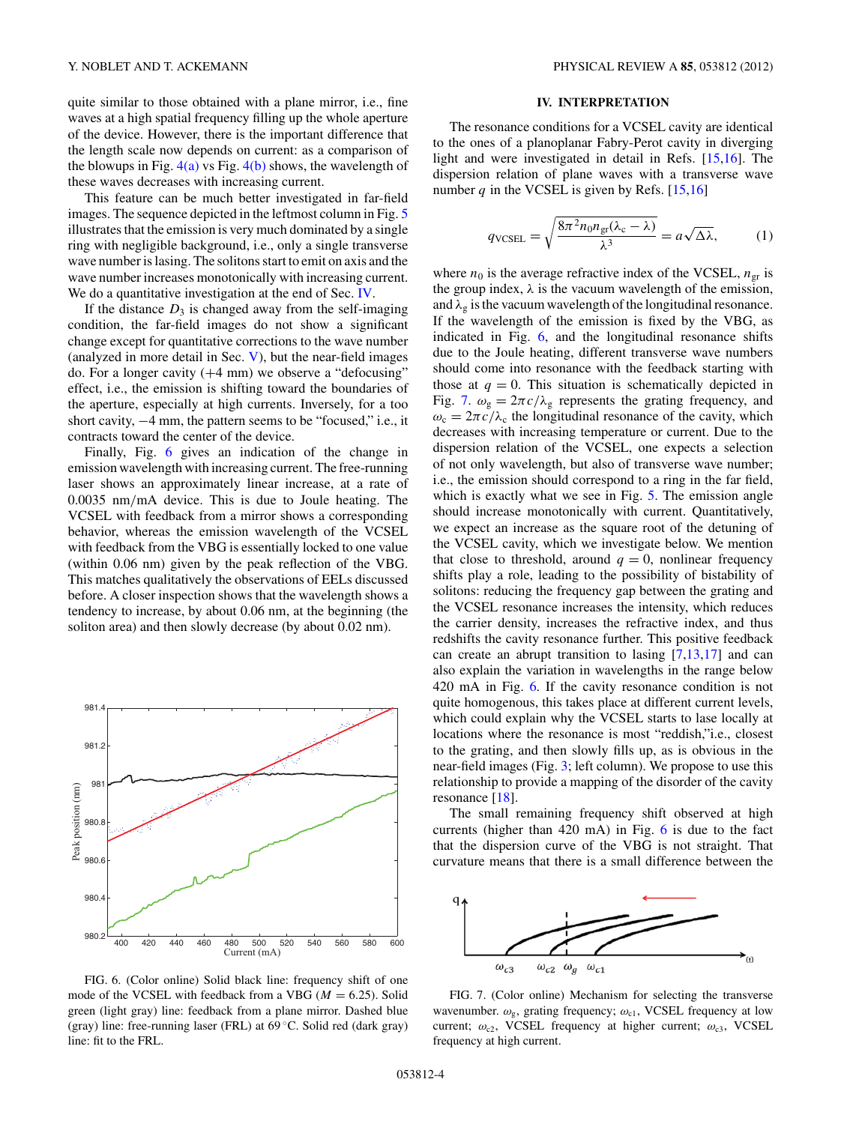<span id="page-3-0"></span>quite similar to those obtained with a plane mirror, i.e., fine waves at a high spatial frequency filling up the whole aperture of the device. However, there is the important difference that the length scale now depends on current: as a comparison of the blowups in Fig.  $4(a)$  vs Fig.  $4(b)$  shows, the wavelength of these waves decreases with increasing current.

This feature can be much better investigated in far-field images. The sequence depicted in the leftmost column in Fig. [5](#page-2-0) illustrates that the emission is very much dominated by a single ring with negligible background, i.e., only a single transverse wave number is lasing. The solitons start to emit on axis and the wave number increases monotonically with increasing current. We do a quantitative investigation at the end of Sec. IV.

If the distance  $D_3$  is changed away from the self-imaging condition, the far-field images do not show a significant change except for quantitative corrections to the wave number (analyzed in more detail in Sec. [V\)](#page-4-0), but the near-field images do. For a longer cavity  $(+4 \text{ mm})$  we observe a "defocusing" effect, i.e., the emission is shifting toward the boundaries of the aperture, especially at high currents. Inversely, for a too short cavity, −4 mm, the pattern seems to be "focused," i.e., it contracts toward the center of the device.

Finally, Fig. 6 gives an indication of the change in emission wavelength with increasing current. The free-running laser shows an approximately linear increase, at a rate of 0.0035 nm*/*mA device. This is due to Joule heating. The VCSEL with feedback from a mirror shows a corresponding behavior, whereas the emission wavelength of the VCSEL with feedback from the VBG is essentially locked to one value (within 0.06 nm) given by the peak reflection of the VBG. This matches qualitatively the observations of EELs discussed before. A closer inspection shows that the wavelength shows a tendency to increase, by about 0.06 nm, at the beginning (the soliton area) and then slowly decrease (by about 0.02 nm).



FIG. 6. (Color online) Solid black line: frequency shift of one mode of the VCSEL with feedback from a VBG ( $M = 6.25$ ). Solid green (light gray) line: feedback from a plane mirror. Dashed blue (gray) line: free-running laser (FRL) at 69 ◦C. Solid red (dark gray) line: fit to the FRL.

### **IV. INTERPRETATION**

The resonance conditions for a VCSEL cavity are identical to the ones of a planoplanar Fabry-Perot cavity in diverging light and were investigated in detail in Refs. [\[15,16\]](#page-7-0). The dispersion relation of plane waves with a transverse wave number  $q$  in the VCSEL is given by Refs.  $[15,16]$ 

$$
q_{\text{VCSEL}} = \sqrt{\frac{8\pi^2 n_0 n_{\text{gr}}(\lambda_{\text{c}} - \lambda)}{\lambda^3}} = a\sqrt{\Delta\lambda},\tag{1}
$$

where  $n_0$  is the average refractive index of the VCSEL,  $n_{\text{gr}}$  is the group index,  $\lambda$  is the vacuum wavelength of the emission, and  $\lambda_g$  is the vacuum wavelength of the longitudinal resonance. If the wavelength of the emission is fixed by the VBG, as indicated in Fig. 6, and the longitudinal resonance shifts due to the Joule heating, different transverse wave numbers should come into resonance with the feedback starting with those at  $q = 0$ . This situation is schematically depicted in Fig. 7.  $\omega_{\rm g} = 2\pi c/\lambda_{\rm g}$  represents the grating frequency, and  $\omega_c = 2\pi c/\lambda_c$  the longitudinal resonance of the cavity, which decreases with increasing temperature or current. Due to the dispersion relation of the VCSEL, one expects a selection of not only wavelength, but also of transverse wave number; i.e., the emission should correspond to a ring in the far field, which is exactly what we see in Fig. [5.](#page-2-0) The emission angle should increase monotonically with current. Quantitatively, we expect an increase as the square root of the detuning of the VCSEL cavity, which we investigate below. We mention that close to threshold, around  $q = 0$ , nonlinear frequency shifts play a role, leading to the possibility of bistability of solitons: reducing the frequency gap between the grating and the VCSEL resonance increases the intensity, which reduces the carrier density, increases the refractive index, and thus redshifts the cavity resonance further. This positive feedback can create an abrupt transition to lasing [\[7,13,17\]](#page-7-0) and can also explain the variation in wavelengths in the range below 420 mA in Fig. 6. If the cavity resonance condition is not quite homogenous, this takes place at different current levels, which could explain why the VCSEL starts to lase locally at locations where the resonance is most "reddish,"i.e., closest to the grating, and then slowly fills up, as is obvious in the near-field images (Fig. [3;](#page-2-0) left column). We propose to use this relationship to provide a mapping of the disorder of the cavity resonance [\[18\]](#page-7-0).

The small remaining frequency shift observed at high currents (higher than 420 mA) in Fig. 6 is due to the fact that the dispersion curve of the VBG is not straight. That curvature means that there is a small difference between the



FIG. 7. (Color online) Mechanism for selecting the transverse wavenumber.  $ω_g$ , grating frequency;  $ω_{c1}$ , VCSEL frequency at low current;  $ω_{c2}$ , VCSEL frequency at higher current;  $ω_{c3}$ , VCSEL frequency at high current.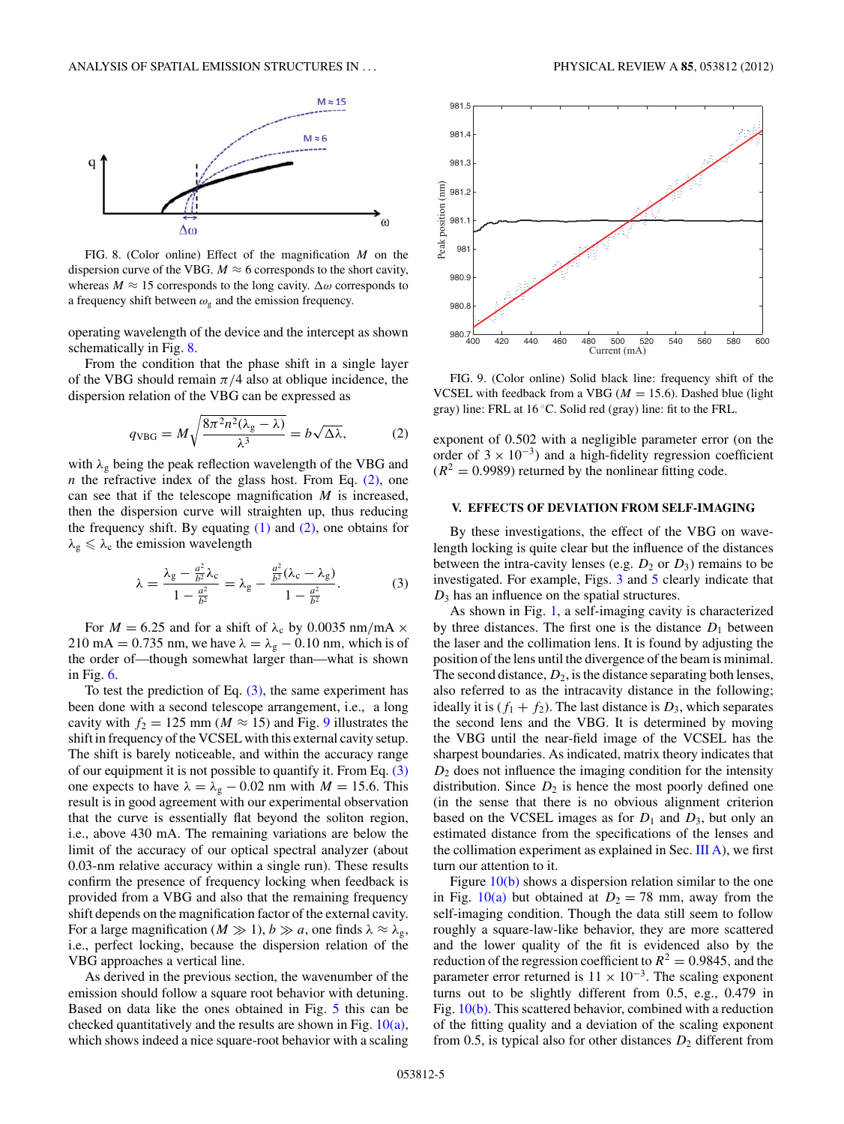<span id="page-4-0"></span>

FIG. 8. (Color online) Effect of the magnification *M* on the dispersion curve of the VBG.  $M \approx 6$  corresponds to the short cavity, whereas  $M \approx 15$  corresponds to the long cavity.  $\Delta \omega$  corresponds to a frequency shift between  $\omega_{\rm g}$  and the emission frequency.

operating wavelength of the device and the intercept as shown schematically in Fig. 8.

From the condition that the phase shift in a single layer of the VBG should remain  $\pi/4$  also at oblique incidence, the dispersion relation of the VBG can be expressed as

$$
q_{\text{VBG}} = M \sqrt{\frac{8\pi^2 n^2 (\lambda_g - \lambda)}{\lambda^3}} = b \sqrt{\Delta \lambda},\tag{2}
$$

with *λ*<sup>g</sup> being the peak reflection wavelength of the VBG and *n* the refractive index of the glass host. From Eq.  $(2)$ , one can see that if the telescope magnification *M* is increased, then the dispersion curve will straighten up, thus reducing the frequency shift. By equating  $(1)$  and  $(2)$ , one obtains for  $\lambda_{\rm g} \leqslant \lambda_{\rm c}$  the emission wavelength

$$
\lambda = \frac{\lambda_g - \frac{a^2}{b^2} \lambda_c}{1 - \frac{a^2}{b^2}} = \lambda_g - \frac{\frac{a^2}{b^2} (\lambda_c - \lambda_g)}{1 - \frac{a^2}{b^2}}.
$$
 (3)

For  $M = 6.25$  and for a shift of  $\lambda_c$  by 0.0035 nm/mA  $\times$ 210 mA = 0.735 nm, we have  $\lambda = \lambda_g - 0.10$  nm, which is of the order of—though somewhat larger than—what is shown in Fig. [6.](#page-3-0)

To test the prediction of Eq.  $(3)$ , the same experiment has been done with a second telescope arrangement, i.e., a long cavity with  $f_2 = 125$  mm ( $M \approx 15$ ) and Fig. 9 illustrates the shift in frequency of the VCSEL with this external cavity setup. The shift is barely noticeable, and within the accuracy range of our equipment it is not possible to quantify it. From Eq. (3) one expects to have  $\lambda = \lambda_g - 0.02$  nm with  $M = 15.6$ . This result is in good agreement with our experimental observation that the curve is essentially flat beyond the soliton region, i.e., above 430 mA. The remaining variations are below the limit of the accuracy of our optical spectral analyzer (about 0.03-nm relative accuracy within a single run). These results confirm the presence of frequency locking when feedback is provided from a VBG and also that the remaining frequency shift depends on the magnification factor of the external cavity. For a large magnification ( $M \gg 1$ ),  $b \gg a$ , one finds  $\lambda \approx \lambda_{g}$ , i.e., perfect locking, because the dispersion relation of the VBG approaches a vertical line.

As derived in the previous section, the wavenumber of the emission should follow a square root behavior with detuning. Based on data like the ones obtained in Fig. [5](#page-2-0) this can be checked quantitatively and the results are shown in Fig.  $10(a)$ , which shows indeed a nice square-root behavior with a scaling



FIG. 9. (Color online) Solid black line: frequency shift of the VCSEL with feedback from a VBG ( $M = 15.6$ ). Dashed blue (light gray) line: FRL at 16 ◦C. Solid red (gray) line: fit to the FRL.

exponent of 0*.*502 with a negligible parameter error (on the order of  $3 \times 10^{-3}$ ) and a high-fidelity regression coefficient  $(R^2 = 0.9989)$  returned by the nonlinear fitting code.

## **V. EFFECTS OF DEVIATION FROM SELF-IMAGING**

By these investigations, the effect of the VBG on wavelength locking is quite clear but the influence of the distances between the intra-cavity lenses (e.g.  $D_2$  or  $D_3$ ) remains to be investigated. For example, Figs. [3](#page-2-0) and [5](#page-2-0) clearly indicate that *D*<sup>3</sup> has an influence on the spatial structures.

As shown in Fig. [1,](#page-1-0) a self-imaging cavity is characterized by three distances. The first one is the distance  $D_1$  between the laser and the collimation lens. It is found by adjusting the position of the lens until the divergence of the beam is minimal. The second distance,  $D_2$ , is the distance separating both lenses, also referred to as the intracavity distance in the following; ideally it is  $(f_1 + f_2)$ . The last distance is  $D_3$ , which separates the second lens and the VBG. It is determined by moving the VBG until the near-field image of the VCSEL has the sharpest boundaries. As indicated, matrix theory indicates that *D*<sup>2</sup> does not influence the imaging condition for the intensity distribution. Since  $D_2$  is hence the most poorly defined one (in the sense that there is no obvious alignment criterion based on the VCSEL images as for  $D_1$  and  $D_3$ , but only an estimated distance from the specifications of the lenses and the collimation experiment as explained in Sec. [III A\)](#page-1-0), we first turn our attention to it.

Figure  $10(b)$  shows a dispersion relation similar to the one in Fig. [10\(a\)](#page-5-0) but obtained at  $D_2 = 78$  mm, away from the self-imaging condition. Though the data still seem to follow roughly a square-law-like behavior, they are more scattered and the lower quality of the fit is evidenced also by the reduction of the regression coefficient to  $R^2 = 0.9845$ , and the parameter error returned is  $11 \times 10^{-3}$ . The scaling exponent turns out to be slightly different from 0.5, e.g., 0.479 in Fig. [10\(b\).](#page-5-0) This scattered behavior, combined with a reduction of the fitting quality and a deviation of the scaling exponent from 0.5, is typical also for other distances  $D_2$  different from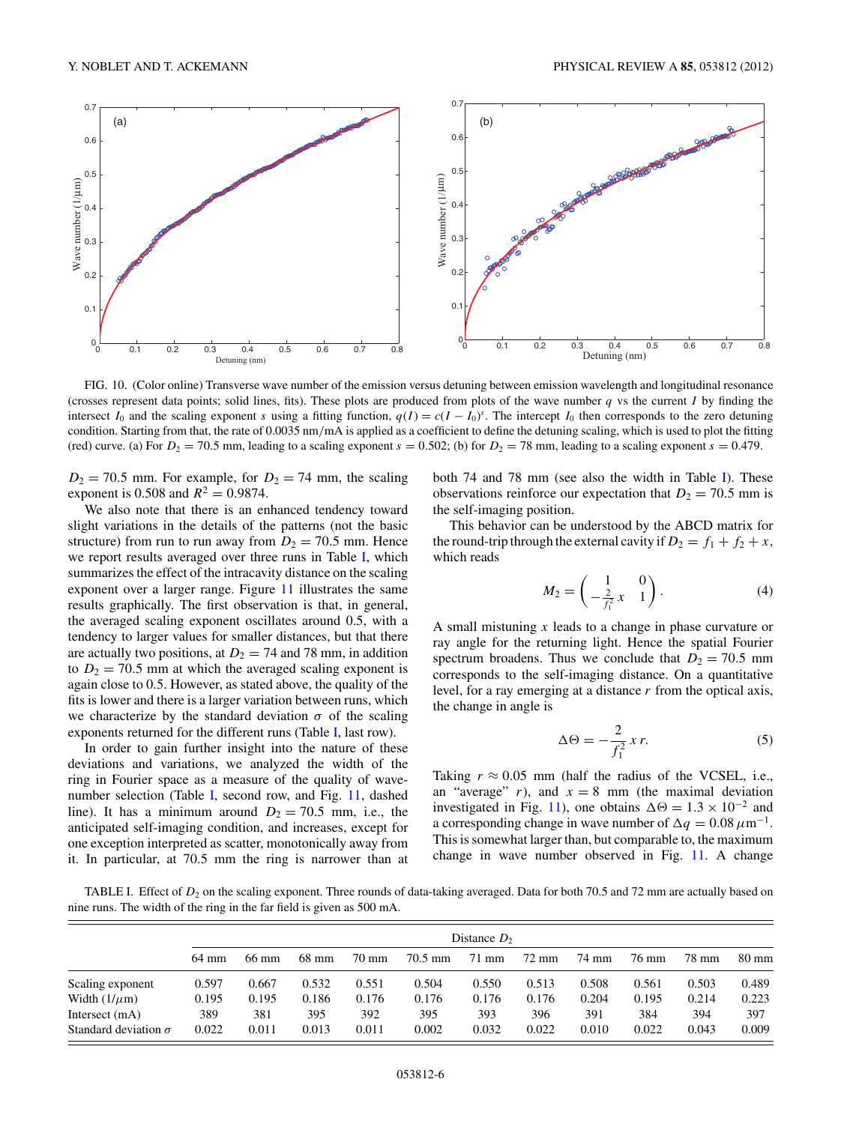<span id="page-5-0"></span>

FIG. 10. (Color online) Transverse wave number of the emission versus detuning between emission wavelength and longitudinal resonance (crosses represent data points; solid lines, fits). These plots are produced from plots of the wave number *q* vs the current *I* by finding the intersect  $I_0$  and the scaling exponent *s* using a fitting function,  $q(I) = c(I - I_0)^s$ . The intercept  $I_0$  then corresponds to the zero detuning condition. Starting from that, the rate of 0.0035 nm*/*mA is applied as a coefficient to define the detuning scaling, which is used to plot the fitting (red) curve. (a) For  $D_2 = 70.5$  mm, leading to a scaling exponent  $s = 0.502$ ; (b) for  $D_2 = 78$  mm, leading to a scaling exponent  $s = 0.479$ .

 $D_2 = 70.5$  mm. For example, for  $D_2 = 74$  mm, the scaling exponent is 0.508 and  $R^2 = 0.9874$ .

We also note that there is an enhanced tendency toward slight variations in the details of the patterns (not the basic structure) from run to run away from  $D_2 = 70.5$  mm. Hence we report results averaged over three runs in Table I, which summarizes the effect of the intracavity distance on the scaling exponent over a larger range. Figure [11](#page-6-0) illustrates the same results graphically. The first observation is that, in general, the averaged scaling exponent oscillates around 0.5, with a tendency to larger values for smaller distances, but that there are actually two positions, at  $D_2 = 74$  and 78 mm, in addition to  $D_2 = 70.5$  mm at which the averaged scaling exponent is again close to 0.5. However, as stated above, the quality of the fits is lower and there is a larger variation between runs, which we characterize by the standard deviation  $\sigma$  of the scaling exponents returned for the different runs (Table I, last row).

In order to gain further insight into the nature of these deviations and variations, we analyzed the width of the ring in Fourier space as a measure of the quality of wavenumber selection (Table I, second row, and Fig. [11,](#page-6-0) dashed line). It has a minimum around  $D_2 = 70.5$  mm, i.e., the anticipated self-imaging condition, and increases, except for one exception interpreted as scatter, monotonically away from it. In particular, at 70.5 mm the ring is narrower than at both 74 and 78 mm (see also the width in Table I). These observations reinforce our expectation that  $D_2 = 70.5$  mm is the self-imaging position.

This behavior can be understood by the ABCD matrix for the round-trip through the external cavity if  $D_2 = f_1 + f_2 + x$ , which reads

$$
M_2 = \begin{pmatrix} 1 & 0 \\ -\frac{2}{f_1^2} x & 1 \end{pmatrix}.
$$
 (4)

A small mistuning *x* leads to a change in phase curvature or ray angle for the returning light. Hence the spatial Fourier spectrum broadens. Thus we conclude that  $D_2 = 70.5$  mm corresponds to the self-imaging distance. On a quantitative level, for a ray emerging at a distance *r* from the optical axis, the change in angle is

$$
\Delta \Theta = -\frac{2}{f_1^2} x r. \tag{5}
$$

Taking  $r \approx 0.05$  mm (half the radius of the VCSEL, i.e., an "average"  $r$ ), and  $x = 8$  mm (the maximal deviation investigated in Fig. [11\)](#page-6-0), one obtains  $\Delta \Theta = 1.3 \times 10^{-2}$  and a corresponding change in wave number of  $\Delta q = 0.08 \,\mu\text{m}^{-1}$ . This is somewhat larger than, but comparable to, the maximum change in wave number observed in Fig. [11.](#page-6-0) A change

TABLE I. Effect of  $D_2$  on the scaling exponent. Three rounds of data-taking averaged. Data for both 70.5 and 72 mm are actually based on nine runs. The width of the ring in the far field is given as 500 mA.

|                             | Distance $D_2$ |       |       |       |                   |                 |                 |       |       |       |                 |
|-----------------------------|----------------|-------|-------|-------|-------------------|-----------------|-----------------|-------|-------|-------|-----------------|
|                             | 64 mm          | 66 mm | 68 mm | 70 mm | $70.5 \text{ mm}$ | $71 \text{ mm}$ | $72 \text{ mm}$ | 74 mm | 76 mm | 78 mm | $80 \text{ mm}$ |
| Scaling exponent            | 0.597          | 0.667 | 0.532 | 0.551 | 0.504             | 0.550           | 0.513           | 0.508 | 0.561 | 0.503 | 0.489           |
| Width $(1/\mu m)$           | 0.195          | 0.195 | 0.186 | 0.176 | 0.176             | 0.176           | 0.176           | 0.204 | 0.195 | 0.214 | 0.223           |
| Intersect (mA)              | 389            | 381   | 395   | 392   | 395               | 393             | 396             | 391   | 384   | 394   | 397             |
| Standard deviation $\sigma$ | 0.022          | 0.011 | 0.013 | 0.011 | 0.002             | 0.032           | 0.022           | 0.010 | 0.022 | 0.043 | 0.009           |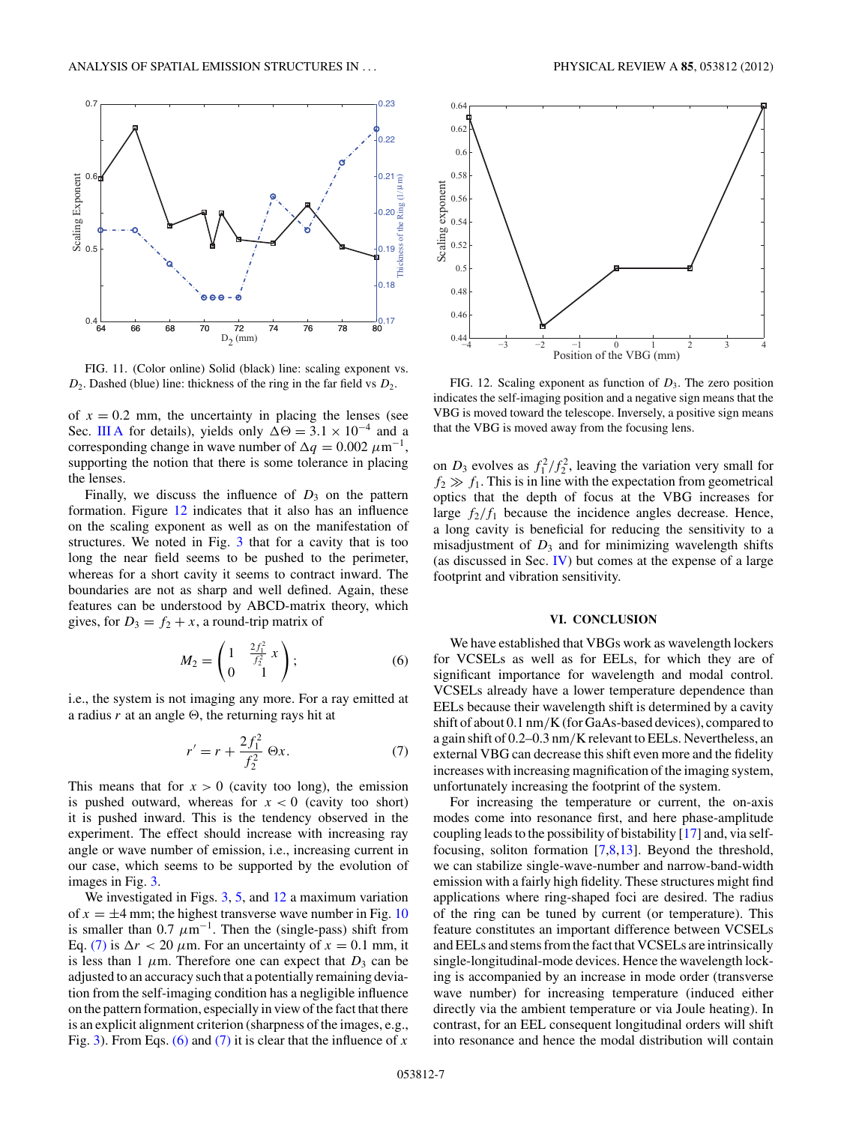<span id="page-6-0"></span>

FIG. 11. (Color online) Solid (black) line: scaling exponent vs. *D*2. Dashed (blue) line: thickness of the ring in the far field vs *D*2.

of  $x = 0.2$  mm, the uncertainty in placing the lenses (see Sec. [III A](#page-1-0) for details), yields only  $\Delta \Theta = 3.1 \times 10^{-4}$  and a corresponding change in wave number of  $\Delta q = 0.002 \ \mu m^{-1}$ , supporting the notion that there is some tolerance in placing the lenses.

Finally, we discuss the influence of  $D_3$  on the pattern formation. Figure 12 indicates that it also has an influence on the scaling exponent as well as on the manifestation of structures. We noted in Fig. [3](#page-2-0) that for a cavity that is too long the near field seems to be pushed to the perimeter, whereas for a short cavity it seems to contract inward. The boundaries are not as sharp and well defined. Again, these features can be understood by ABCD-matrix theory, which gives, for  $D_3 = f_2 + x$ , a round-trip matrix of

$$
M_2 = \begin{pmatrix} 1 & \frac{2f_1^2}{f_2^2} x \\ 0 & 1 \end{pmatrix};
$$
 (6)

i.e., the system is not imaging any more. For a ray emitted at a radius  $r$  at an angle  $\Theta$ , the returning rays hit at

$$
r' = r + \frac{2f_1^2}{f_2^2} \Theta x.
$$
 (7)

This means that for  $x > 0$  (cavity too long), the emission is pushed outward, whereas for  $x < 0$  (cavity too short) it is pushed inward. This is the tendency observed in the experiment. The effect should increase with increasing ray angle or wave number of emission, i.e., increasing current in our case, which seems to be supported by the evolution of images in Fig. [3.](#page-2-0)

We investigated in Figs. [3,](#page-2-0) [5,](#page-2-0) and 12 a maximum variation of  $x = \pm 4$  mm; the highest transverse wave number in Fig. [10](#page-5-0) is smaller than 0.7  $\mu$ m<sup>-1</sup>. Then the (single-pass) shift from Eq. (7) is  $\Delta r < 20 \mu$ m. For an uncertainty of  $x = 0.1$  mm, it is less than 1  $\mu$ m. Therefore one can expect that  $D_3$  can be adjusted to an accuracy such that a potentially remaining deviation from the self-imaging condition has a negligible influence on the pattern formation, especially in view of the fact that there is an explicit alignment criterion (sharpness of the images, e.g., Fig. [3\)](#page-2-0). From Eqs. (6) and (7) it is clear that the influence of *x*



FIG. 12. Scaling exponent as function of *D*3. The zero position indicates the self-imaging position and a negative sign means that the VBG is moved toward the telescope. Inversely, a positive sign means that the VBG is moved away from the focusing lens.

on  $D_3$  evolves as  $f_1^2/f_2^2$ , leaving the variation very small for  $f_2 \gg f_1$ . This is in line with the expectation from geometrical optics that the depth of focus at the VBG increases for large  $f_2/f_1$  because the incidence angles decrease. Hence, a long cavity is beneficial for reducing the sensitivity to a misadjustment of  $D_3$  and for minimizing wavelength shifts (as discussed in Sec. [IV\)](#page-3-0) but comes at the expense of a large footprint and vibration sensitivity.

## **VI. CONCLUSION**

We have established that VBGs work as wavelength lockers for VCSELs as well as for EELs, for which they are of significant importance for wavelength and modal control. VCSELs already have a lower temperature dependence than EELs because their wavelength shift is determined by a cavity shift of about 0.1 nm*/*K (for GaAs-based devices), compared to a gain shift of 0.2–0.3 nm*/*K relevant to EELs. Nevertheless, an external VBG can decrease this shift even more and the fidelity increases with increasing magnification of the imaging system, unfortunately increasing the footprint of the system.

For increasing the temperature or current, the on-axis modes come into resonance first, and here phase-amplitude coupling leads to the possibility of bistability [\[17\]](#page-7-0) and, via selffocusing, soliton formation [\[7,8,13\]](#page-7-0). Beyond the threshold, we can stabilize single-wave-number and narrow-band-width emission with a fairly high fidelity. These structures might find applications where ring-shaped foci are desired. The radius of the ring can be tuned by current (or temperature). This feature constitutes an important difference between VCSELs and EELs and stems from the fact that VCSELs are intrinsically single-longitudinal-mode devices. Hence the wavelength locking is accompanied by an increase in mode order (transverse wave number) for increasing temperature (induced either directly via the ambient temperature or via Joule heating). In contrast, for an EEL consequent longitudinal orders will shift into resonance and hence the modal distribution will contain